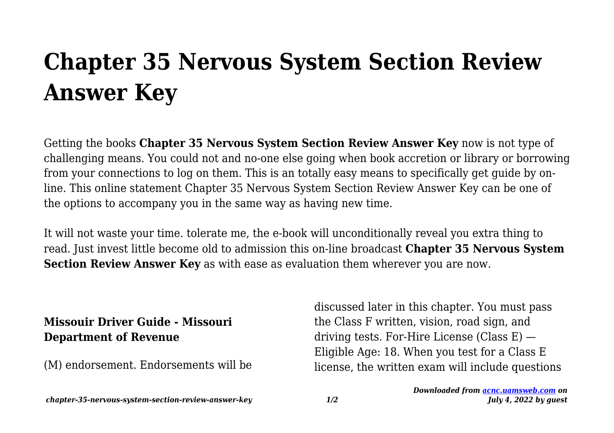## **Chapter 35 Nervous System Section Review Answer Key**

Getting the books **Chapter 35 Nervous System Section Review Answer Key** now is not type of challenging means. You could not and no-one else going when book accretion or library or borrowing from your connections to log on them. This is an totally easy means to specifically get guide by online. This online statement Chapter 35 Nervous System Section Review Answer Key can be one of the options to accompany you in the same way as having new time.

It will not waste your time. tolerate me, the e-book will unconditionally reveal you extra thing to read. Just invest little become old to admission this on-line broadcast **Chapter 35 Nervous System Section Review Answer Key** as with ease as evaluation them wherever you are now.

## **Missouir Driver Guide - Missouri Department of Revenue**

(M) endorsement. Endorsements will be

discussed later in this chapter. You must pass the Class F written, vision, road sign, and driving tests. For-Hire License (Class E) — Eligible Age: 18. When you test for a Class E license, the written exam will include questions